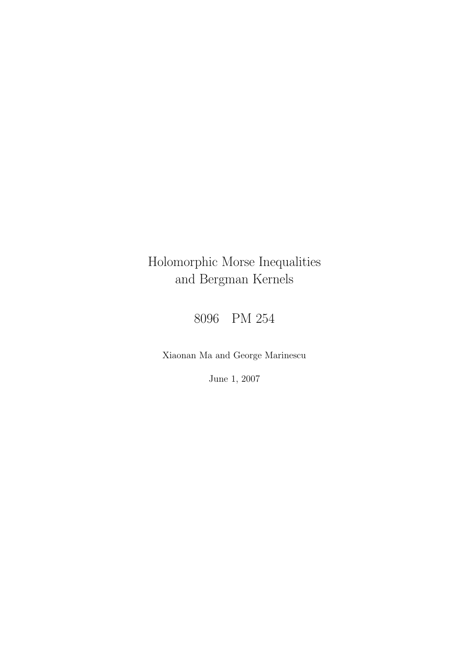## Holomorphic Morse Inequalities and Bergman Kernels

8096 PM 254

Xiaonan Ma and George Marinescu

June 1, 2007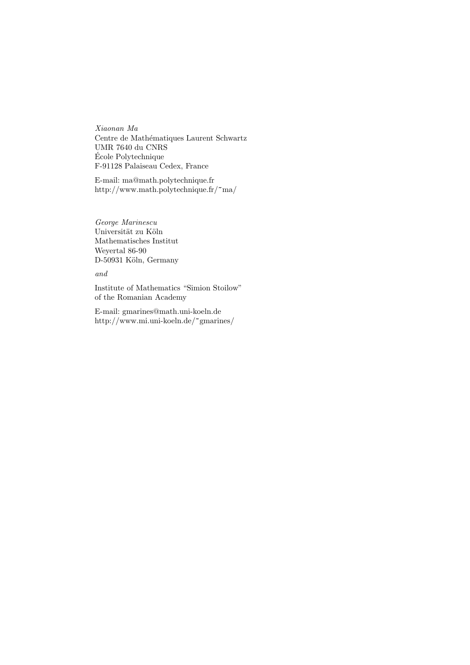*Xiaonan Ma* Centre de Mathématiques Laurent Schwartz UMR 7640 du CNRS Ecole Polytechnique ´ F-91128 Palaiseau Cedex, France

E-mail: ma@math.polytechnique.fr http://www.math.polytechnique.fr/~ma/

*George Marinescu* Universität zu Köln Mathematisches Institut Weyertal 86-90 D-50931 Köln, Germany

## *and*

Institute of Mathematics "Simion Stoilow" of the Romanian Academy

E-mail: gmarines@math.uni-koeln.de http://www.mi.uni-koeln.de/~gmarines/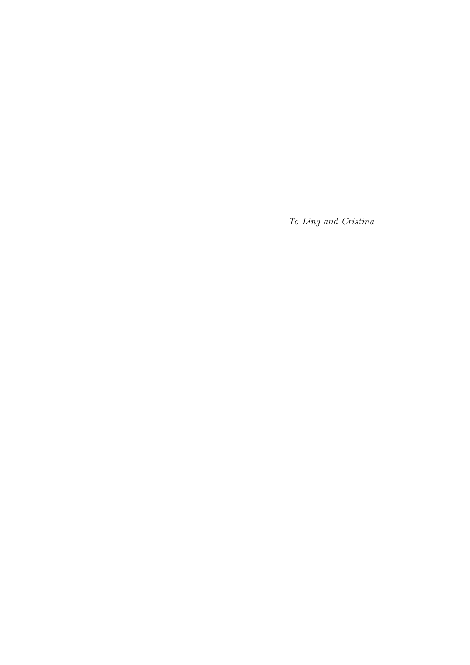*To Ling and Cristina*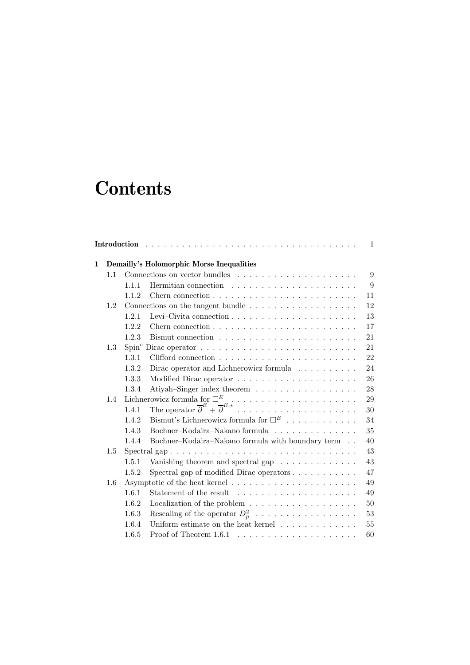# **Contents**

|   |                         |       |                                                                         | $\mathbf{1}$ |  |  |
|---|-------------------------|-------|-------------------------------------------------------------------------|--------------|--|--|
| 1 |                         |       | Demailly's Holomorphic Morse Inequalities                               |              |  |  |
|   | 1.1                     |       |                                                                         | 9            |  |  |
|   |                         | 1.1.1 |                                                                         | 9            |  |  |
|   |                         | 1.1.2 |                                                                         | 11           |  |  |
|   | 1.2                     |       | Connections on the tangent bundle $\dots \dots \dots \dots \dots \dots$ | 12           |  |  |
|   |                         | 1.2.1 |                                                                         | 13           |  |  |
|   |                         | 1.2.2 | 17                                                                      |              |  |  |
|   |                         | 1.2.3 | 21                                                                      |              |  |  |
|   | 1.3                     |       | 21                                                                      |              |  |  |
|   |                         | 1.3.1 | 22                                                                      |              |  |  |
|   |                         | 1.3.2 | Dirac operator and Lichnerowicz formula $\ldots \ldots \ldots$          | 24           |  |  |
|   |                         | 1.3.3 |                                                                         | 26           |  |  |
|   |                         | 1.3.4 | Atiyah-Singer index theorem<br>28                                       |              |  |  |
|   | 1.4                     | 29    |                                                                         |              |  |  |
|   |                         |       | 30                                                                      |              |  |  |
|   |                         | 1.4.2 | Bismut's Lichnerowicz formula for $\Box^E$                              | 34           |  |  |
|   |                         | 1.4.3 | Bochner-Kodaira-Nakano formula                                          | 35           |  |  |
|   |                         | 1.4.4 | Bochner-Kodaira-Nakano formula with boundary term<br>40                 |              |  |  |
|   | Spectral gap<br>$1.5\,$ |       |                                                                         |              |  |  |
|   |                         | 1.5.1 | Vanishing theorem and spectral gap $\ldots \ldots \ldots \ldots$<br>43  |              |  |  |
|   |                         | 1.5.2 | Spectral gap of modified Dirac operators<br>47                          |              |  |  |
|   | 1.6                     |       | 49                                                                      |              |  |  |
|   |                         | 1.6.1 | 49                                                                      |              |  |  |
|   |                         | 1.6.2 | Localization of the problem $\dots \dots \dots \dots \dots \dots$       | 50           |  |  |
|   |                         | 1.6.3 | Rescaling of the operator $D_p^2$<br>53                                 |              |  |  |
|   |                         | 1.6.4 | Uniform estimate on the heat kernel $\ldots \ldots \ldots \ldots$       | 55           |  |  |
|   |                         | 1.6.5 | 60                                                                      |              |  |  |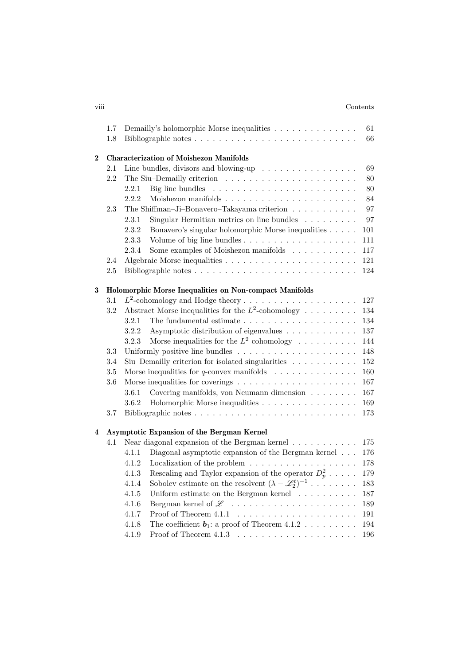### viii Contents

|          | $1.7\,$ |                                                                                | Demailly's holomorphic Morse inequalities $\dots \dots \dots \dots \dots$           | 61      |  |  |  |  |
|----------|---------|--------------------------------------------------------------------------------|-------------------------------------------------------------------------------------|---------|--|--|--|--|
|          | 1.8     |                                                                                |                                                                                     | 66      |  |  |  |  |
| $\bf{2}$ |         | <b>Characterization of Moishezon Manifolds</b>                                 |                                                                                     |         |  |  |  |  |
|          | 2.1     |                                                                                | Line bundles, divisors and blowing-up $\ldots \ldots \ldots \ldots \ldots$          | 69      |  |  |  |  |
|          | 2.2     |                                                                                |                                                                                     | 80      |  |  |  |  |
|          |         | 2.2.1                                                                          | Big line bundles $\dots \dots \dots \dots \dots \dots \dots \dots$                  | 80      |  |  |  |  |
|          |         | 2.2.2                                                                          |                                                                                     | 84      |  |  |  |  |
|          | 2.3     |                                                                                | The Shiffman-Ji-Bonavero-Takayama criterion                                         | 97      |  |  |  |  |
|          |         | 2.3.1                                                                          | Singular Hermitian metrics on line bundles $\ldots \ldots \ldots$                   | 97      |  |  |  |  |
|          |         | 2.3.2                                                                          | Bonavero's singular holomorphic Morse inequalities                                  | 101     |  |  |  |  |
|          |         | 2.3.3                                                                          |                                                                                     | 111     |  |  |  |  |
|          |         | 2.3.4                                                                          | Some examples of Moishezon manifolds                                                | 117     |  |  |  |  |
|          | 2.4     |                                                                                |                                                                                     | 121     |  |  |  |  |
|          | $2.5\,$ |                                                                                |                                                                                     | 124     |  |  |  |  |
| 3        |         | Holomorphic Morse Inequalities on Non-compact Manifolds                        |                                                                                     |         |  |  |  |  |
|          | 3.1     |                                                                                | $L^2$ -cohomology and Hodge theory                                                  | 127     |  |  |  |  |
|          | 3.2     |                                                                                | Abstract Morse inequalities for the $L^2$ -cohomology                               | 134     |  |  |  |  |
|          |         | 3.2.1                                                                          | The fundamental estimate $\ldots \ldots \ldots \ldots \ldots \ldots \ldots \ldots$  | 134     |  |  |  |  |
|          |         | 3.2.2                                                                          | Asymptotic distribution of eigenvalues                                              | 137     |  |  |  |  |
|          |         | 3.2.3                                                                          | Morse inequalities for the $L^2$ cohomology                                         | 144     |  |  |  |  |
|          | 3.3     |                                                                                |                                                                                     | 148     |  |  |  |  |
|          | 3.4     | Siu-Demailly criterion for isolated singularities<br>152                       |                                                                                     |         |  |  |  |  |
|          | 3.5     | Morse inequalities for q-convex manifolds $\ldots \ldots \ldots \ldots$<br>160 |                                                                                     |         |  |  |  |  |
|          | 3.6     |                                                                                | Morse inequalities for coverings $\ldots \ldots \ldots \ldots \ldots \ldots \ldots$ | 167     |  |  |  |  |
|          |         | 3.6.1                                                                          | Covering manifolds, von Neumann dimension                                           | 167     |  |  |  |  |
|          |         | 3.6.2                                                                          | Holomorphic Morse inequalities                                                      | 169     |  |  |  |  |
|          | 3.7     |                                                                                |                                                                                     | 173     |  |  |  |  |
| 4        |         |                                                                                | Asymptotic Expansion of the Bergman Kernel                                          |         |  |  |  |  |
|          | 4.1     |                                                                                | Near diagonal expansion of the Bergman kernel $\dots \dots \dots$                   | 175     |  |  |  |  |
|          |         | 4.1.1                                                                          | Diagonal asymptotic expansion of the Bergman kernel                                 | 176     |  |  |  |  |
|          |         | 4.1.2                                                                          | Localization of the problem $\dots \dots \dots \dots \dots \dots$                   | 178     |  |  |  |  |
|          |         | 4.1.3                                                                          | Rescaling and Taylor expansion of the operator $D_p^2 \ldots$ .                     | 179     |  |  |  |  |
|          |         | 4.1.4                                                                          | Sobolev estimate on the resolvent $(\lambda - \mathcal{L}_2^t)^{-1}$                | $183\,$ |  |  |  |  |
|          |         | 4.1.5                                                                          | Uniform estimate on the Bergman kernel $\ldots \ldots \ldots$                       | 187     |  |  |  |  |
|          |         | 4.1.6                                                                          | Bergman kernel of $\mathscr L$                                                      | 189     |  |  |  |  |
|          |         | 4.1.7                                                                          | Proof of Theorem 4.1.1                                                              | 191     |  |  |  |  |
|          |         | 4.1.8                                                                          | The coefficient $b_1$ : a proof of Theorem 4.1.2                                    | 194     |  |  |  |  |
|          |         | 4.1.9                                                                          |                                                                                     | 196     |  |  |  |  |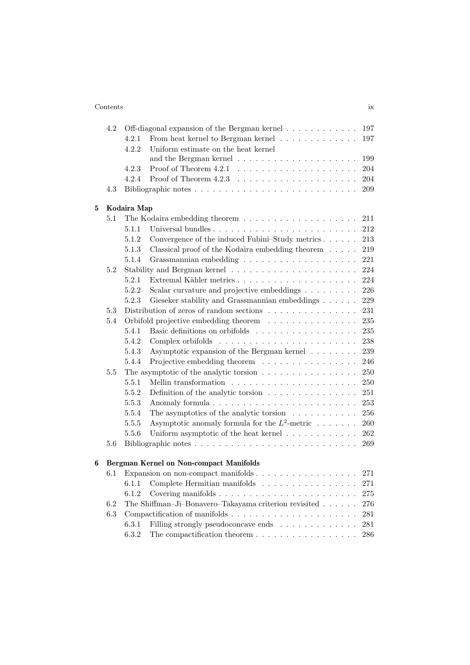## Contents ix

| 4.2     |       | Off-diagonal expansion of the Bergman kernel<br>197                                  |
|---------|-------|--------------------------------------------------------------------------------------|
|         | 4.2.1 | From heat kernel to Bergman kernel $\ldots \ldots \ldots \ldots$<br>197              |
|         | 4.2.2 | Uniform estimate on the heat kernel                                                  |
|         |       | 199                                                                                  |
|         | 4.2.3 | 204                                                                                  |
|         | 4.2.4 | 204                                                                                  |
| 4.3     |       | 209                                                                                  |
|         |       |                                                                                      |
| 5.1     |       | 211                                                                                  |
|         | 5.1.1 | 212                                                                                  |
|         | 5.1.2 | Convergence of the induced Fubini-Study metrics<br>213                               |
|         | 5.1.3 | 219<br>Classical proof of the Kodaira embedding theorem $\ldots$ .                   |
|         | 5.1.4 | 221                                                                                  |
| 5.2     |       | 224                                                                                  |
|         | 5.2.1 | 224                                                                                  |
|         | 5.2.2 | Scalar curvature and projective embeddings<br>226                                    |
|         | 5.2.3 | Gieseker stability and Grassmannian embeddings<br>229                                |
| 5.3     |       | Distribution of zeros of random sections $\ldots \ldots \ldots \ldots \ldots$<br>231 |
| 5.4     |       | Orbifold projective embedding theorem $\ldots \ldots \ldots \ldots$<br>235           |
|         | 5.4.1 | Basic definitions on orbifolds<br>235                                                |
|         | 5.4.2 | 238                                                                                  |
|         | 5.4.3 | Asymptotic expansion of the Bergman kernel<br>239                                    |
|         | 5.4.4 | Projective embedding theorem<br>246                                                  |
| 5.5     |       | The asymptotic of the analytic torsion $\ldots \ldots \ldots \ldots \ldots$<br>250   |
|         | 5.5.1 | 250                                                                                  |
|         | 5.5.2 | 251<br>Definition of the analytic torsion $\ldots \ldots \ldots \ldots \ldots$       |
|         | 5.5.3 | 253                                                                                  |
|         | 5.5.4 | The asymptotics of the analytic torsion $\ldots \ldots \ldots$<br>256                |
|         | 5.5.5 | Asymptotic anomaly formula for the $L^2$ -metric $\dots \dots$<br>260                |
|         | 5.5.6 | Uniform asymptotic of the heat kernel $\ldots \ldots \ldots \ldots$<br>262           |
| 5.6     |       | 269                                                                                  |
|         |       | Bergman Kernel on Non-compact Manifolds                                              |
| $6.1\,$ |       | 271                                                                                  |
|         | 6.1.1 | Complete Hermitian manifolds<br>271                                                  |
|         | 6.1.2 | 275                                                                                  |
| 6.2     |       | The Shiffman-Ji-Bonavero-Takayama criterion revisited<br>276                         |
| 6.3     |       | 281                                                                                  |
|         | 6.3.1 | Filling strongly pseudoconcave ends<br>281                                           |
|         | 6.3.2 | 286                                                                                  |
|         |       | Kodaira Map                                                                          |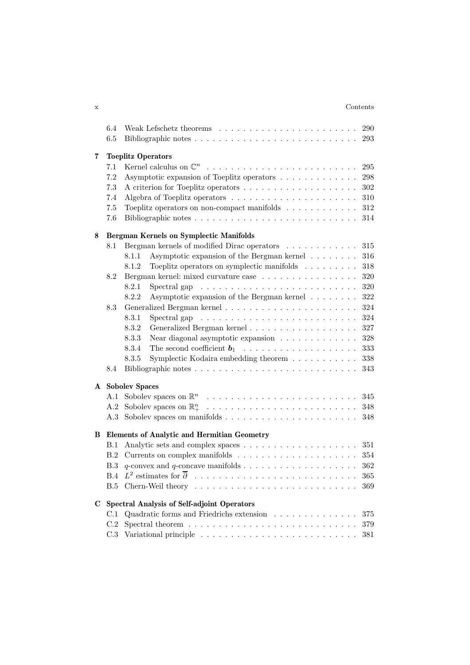## x Contents

|   | 6.4 | 290                                                                                                                                 |  |  |  |  |  |
|---|-----|-------------------------------------------------------------------------------------------------------------------------------------|--|--|--|--|--|
|   | 6.5 | 293                                                                                                                                 |  |  |  |  |  |
|   |     |                                                                                                                                     |  |  |  |  |  |
| 7 | 7.1 | <b>Toeplitz Operators</b><br>295                                                                                                    |  |  |  |  |  |
|   | 298 |                                                                                                                                     |  |  |  |  |  |
|   | 7.2 | Asymptotic expansion of Toeplitz operators<br>302                                                                                   |  |  |  |  |  |
|   | 7.3 |                                                                                                                                     |  |  |  |  |  |
|   | 7.4 | Algebra of Toeplitz operators $\dots \dots \dots \dots \dots \dots \dots$<br>310                                                    |  |  |  |  |  |
|   | 7.5 | 312<br>Toeplitz operators on non-compact manifolds $\ldots \ldots \ldots \ldots$                                                    |  |  |  |  |  |
|   | 7.6 | 314                                                                                                                                 |  |  |  |  |  |
| 8 |     | <b>Bergman Kernels on Symplectic Manifolds</b>                                                                                      |  |  |  |  |  |
|   | 8.1 | Bergman kernels of modified Dirac operators<br>315                                                                                  |  |  |  |  |  |
|   |     | Asymptotic expansion of the Bergman kernel $\ldots \ldots$<br>316<br>8.1.1                                                          |  |  |  |  |  |
|   |     | Toeplitz operators on symplectic manifolds<br>318<br>8.1.2                                                                          |  |  |  |  |  |
|   | 8.2 | Bergman kernel: mixed curvature case<br>320                                                                                         |  |  |  |  |  |
|   |     | 8.2.1<br>320<br>Spectral gap $\ldots \ldots \ldots \ldots \ldots \ldots \ldots \ldots \ldots$                                       |  |  |  |  |  |
|   |     | 322<br>8.2.2<br>Asymptotic expansion of the Bergman kernel                                                                          |  |  |  |  |  |
|   | 8.3 | 324                                                                                                                                 |  |  |  |  |  |
|   |     | 8.3.1<br>Spectral gap $\ldots \ldots \ldots \ldots \ldots \ldots \ldots \ldots$<br>324                                              |  |  |  |  |  |
|   |     | 8.3.2<br>327                                                                                                                        |  |  |  |  |  |
|   |     | 8.3.3<br>328<br>Near diagonal asymptotic expansion $\ldots \ldots \ldots \ldots$                                                    |  |  |  |  |  |
|   |     | 8.3.4<br>333                                                                                                                        |  |  |  |  |  |
|   |     | Symplectic Kodaira embedding theorem<br>338<br>8.3.5                                                                                |  |  |  |  |  |
|   | 8.4 | 343                                                                                                                                 |  |  |  |  |  |
|   |     |                                                                                                                                     |  |  |  |  |  |
| A |     | <b>Sobolev Spaces</b>                                                                                                               |  |  |  |  |  |
|   | A.1 | 345<br>348                                                                                                                          |  |  |  |  |  |
|   | A.2 |                                                                                                                                     |  |  |  |  |  |
|   | A.3 | 348                                                                                                                                 |  |  |  |  |  |
| В |     | <b>Elements of Analytic and Hermitian Geometry</b>                                                                                  |  |  |  |  |  |
|   | B.1 | 351                                                                                                                                 |  |  |  |  |  |
|   | B.2 | 354                                                                                                                                 |  |  |  |  |  |
|   | B.3 | 362                                                                                                                                 |  |  |  |  |  |
|   | B.4 | 365                                                                                                                                 |  |  |  |  |  |
|   | B.5 | 369                                                                                                                                 |  |  |  |  |  |
|   |     |                                                                                                                                     |  |  |  |  |  |
| C | C.1 | <b>Spectral Analysis of Self-adjoint Operators</b><br>Quadratic forms and Friedrichs extension $\ldots \ldots \ldots \ldots$<br>375 |  |  |  |  |  |
|   | C.2 |                                                                                                                                     |  |  |  |  |  |
|   | C.3 | 379<br>381                                                                                                                          |  |  |  |  |  |
|   |     |                                                                                                                                     |  |  |  |  |  |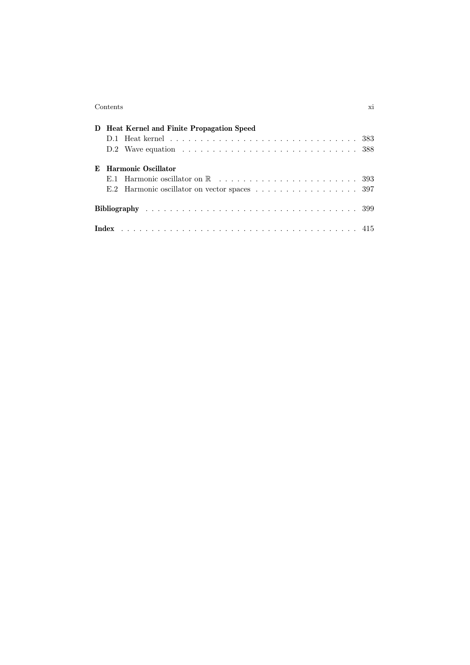### Contents xi

|   | D Heat Kernel and Finite Propagation Speed |                     |  |  |  |  |  |  |  |
|---|--------------------------------------------|---------------------|--|--|--|--|--|--|--|
|   |                                            |                     |  |  |  |  |  |  |  |
|   |                                            |                     |  |  |  |  |  |  |  |
| E |                                            | Harmonic Oscillator |  |  |  |  |  |  |  |
|   |                                            |                     |  |  |  |  |  |  |  |
|   |                                            |                     |  |  |  |  |  |  |  |
|   |                                            |                     |  |  |  |  |  |  |  |
|   |                                            |                     |  |  |  |  |  |  |  |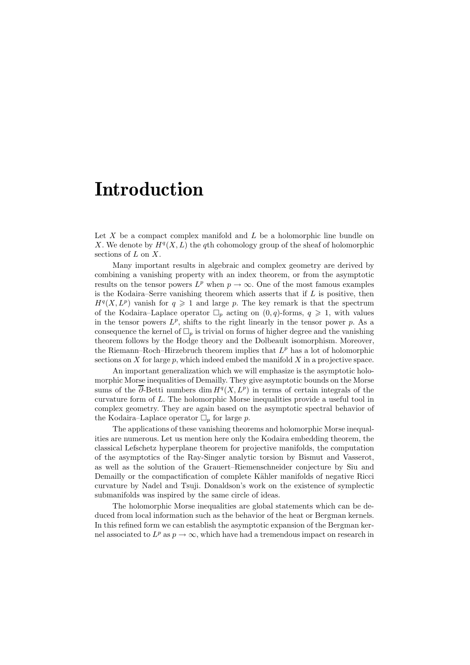Let  $X$  be a compact complex manifold and  $L$  be a holomorphic line bundle on X. We denote by  $H^q(X, L)$  the qth cohomology group of the sheaf of holomorphic sections of  $L$  on  $X$ .

Many important results in algebraic and complex geometry are derived by combining a vanishing property with an index theorem, or from the asymptotic results on the tensor powers  $L^p$  when  $p \to \infty$ . One of the most famous examples is the Kodaira–Serre vanishing theorem which asserts that if  $L$  is positive, then  $H<sup>q</sup>(X, L<sup>p</sup>)$  vanish for  $q \geq 1$  and large p. The key remark is that the spectrum of the Kodaira–Laplace operator  $\Box_p$  acting on  $(0, q)$ -forms,  $q \geq 1$ , with values in the tensor powers  $L^p$ , shifts to the right linearly in the tensor power p. As a consequence the kernel of  $\Box_p$  is trivial on forms of higher degree and the vanishing theorem follows by the Hodge theory and the Dolbeault isomorphism. Moreover, the Riemann–Roch–Hirzebruch theorem implies that  $L^p$  has a lot of holomorphic sections on  $X$  for large  $p$ , which indeed embed the manifold  $X$  in a projective space.

An important generalization which we will emphasize is the asymptotic holomorphic Morse inequalities of Demailly. They give asymptotic bounds on the Morse sums of the  $\overline{\partial}$ -Betti numbers dim  $H^q(X, L^p)$  in terms of certain integrals of the curvature form of L. The holomorphic Morse inequalities provide a useful tool in complex geometry. They are again based on the asymptotic spectral behavior of the Kodaira–Laplace operator  $\Box_p$  for large p.

The applications of these vanishing theorems and holomorphic Morse inequalities are numerous. Let us mention here only the Kodaira embedding theorem, the classical Lefschetz hyperplane theorem for projective manifolds, the computation of the asymptotics of the Ray-Singer analytic torsion by Bismut and Vasserot, as well as the solution of the Grauert–Riemenschneider conjecture by Siu and Demailly or the compactification of complete Kähler manifolds of negative Ricci curvature by Nadel and Tsuji. Donaldson's work on the existence of symplectic submanifolds was inspired by the same circle of ideas.

The holomorphic Morse inequalities are global statements which can be deduced from local information such as the behavior of the heat or Bergman kernels. In this refined form we can establish the asymptotic expansion of the Bergman kernel associated to  $L^p$  as  $p \to \infty$ , which have had a tremendous impact on research in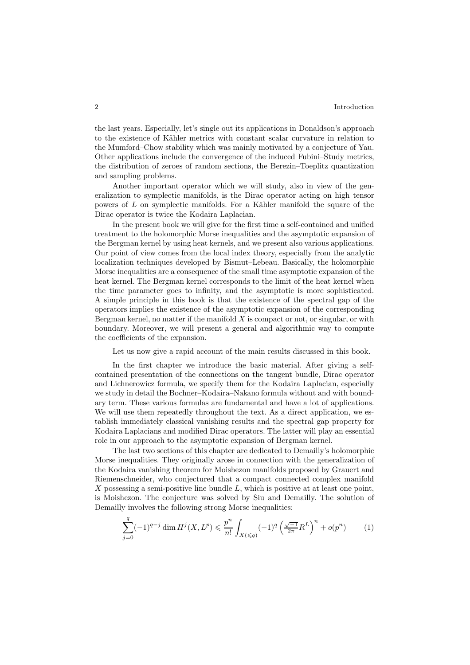the last years. Especially, let's single out its applications in Donaldson's approach to the existence of Kähler metrics with constant scalar curvature in relation to the Mumford–Chow stability which was mainly motivated by a conjecture of Yau. Other applications include the convergence of the induced Fubini–Study metrics, the distribution of zeroes of random sections, the Berezin–Toeplitz quantization and sampling problems.

Another important operator which we will study, also in view of the generalization to symplectic manifolds, is the Dirac operator acting on high tensor powers of  $L$  on symplectic manifolds. For a Kähler manifold the square of the Dirac operator is twice the Kodaira Laplacian.

In the present book we will give for the first time a self-contained and unified treatment to the holomorphic Morse inequalities and the asymptotic expansion of the Bergman kernel by using heat kernels, and we present also various applications. Our point of view comes from the local index theory, especially from the analytic localization techniques developed by Bismut–Lebeau. Basically, the holomorphic Morse inequalities are a consequence of the small time asymptotic expansion of the heat kernel. The Bergman kernel corresponds to the limit of the heat kernel when the time parameter goes to infinity, and the asymptotic is more sophisticated. A simple principle in this book is that the existence of the spectral gap of the operators implies the existence of the asymptotic expansion of the corresponding Bergman kernel, no matter if the manifold  $X$  is compact or not, or singular, or with boundary. Moreover, we will present a general and algorithmic way to compute the coefficients of the expansion.

Let us now give a rapid account of the main results discussed in this book.

In the first chapter we introduce the basic material. After giving a selfcontained presentation of the connections on the tangent bundle, Dirac operator and Lichnerowicz formula, we specify them for the Kodaira Laplacian, especially we study in detail the Bochner–Kodaira–Nakano formula without and with boundary term. These various formulas are fundamental and have a lot of applications. We will use them repeatedly throughout the text. As a direct application, we establish immediately classical vanishing results and the spectral gap property for Kodaira Laplacians and modified Dirac operators. The latter will play an essential role in our approach to the asymptotic expansion of Bergman kernel.

The last two sections of this chapter are dedicated to Demailly's holomorphic Morse inequalities. They originally arose in connection with the generalization of the Kodaira vanishing theorem for Moishezon manifolds proposed by Grauert and Riemenschneider, who conjectured that a compact connected complex manifold  $X$  possessing a semi-positive line bundle  $L$ , which is positive at at least one point, is Moishezon. The conjecture was solved by Siu and Demailly. The solution of Demailly involves the following strong Morse inequalities:

$$
\sum_{j=0}^{q} (-1)^{q-j} \dim H^j(X, L^p) \leq \frac{p^n}{n!} \int_{X(\leq q)} (-1)^q \left(\frac{\sqrt{-1}}{2\pi} R^L\right)^n + o(p^n) \tag{1}
$$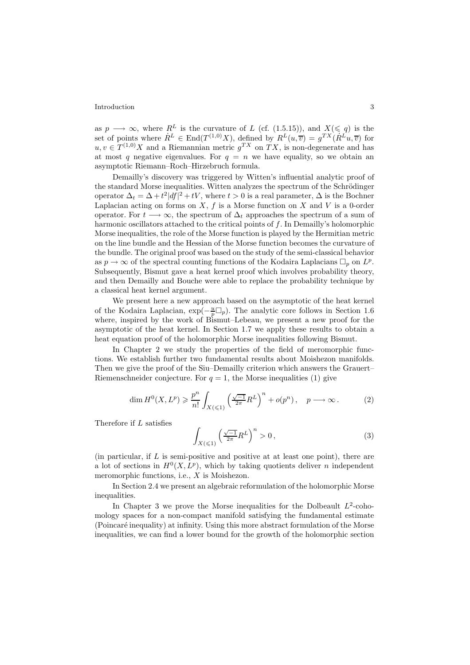as  $p \longrightarrow \infty$ , where  $R^L$  is the curvature of L (cf. (1.5.15)), and  $X(\leq q)$  is the set of points where  $R^L \in \text{End}(T^{(1,0)}X)$ , defined by  $R^L(u, \overline{v}) = g^{TX}(R^L u, \overline{v})$  for  $u, v \in T^{(1,0)}X$  and a Riemannian metric  $q^{TX}$  on  $TX$ , is non-degenerate and has at most q negative eigenvalues. For  $q = n$  we have equality, so we obtain an asymptotic Riemann–Roch–Hirzebruch formula.

Demailly's discovery was triggered by Witten's influential analytic proof of the standard Morse inequalities. Witten analyzes the spectrum of the Schrödinger operator  $\Delta_t = \Delta + t^2 |df|^2 + tV$ , where  $t > 0$  is a real parameter,  $\Delta$  is the Bochner Laplacian acting on forms on  $X, f$  is a Morse function on  $X$  and  $V$  is a 0-order operator. For  $t \longrightarrow \infty$ , the spectrum of  $\Delta_t$  approaches the spectrum of a sum of harmonic oscillators attached to the critical points of f. In Demailly's holomorphic Morse inequalities, the role of the Morse function is played by the Hermitian metric on the line bundle and the Hessian of the Morse function becomes the curvature of the bundle. The original proof was based on the study of the semi-classical behavior as  $p \to \infty$  of the spectral counting functions of the Kodaira Laplacians  $\Box_p$  on  $L^p$ . Subsequently, Bismut gave a heat kernel proof which involves probability theory, and then Demailly and Bouche were able to replace the probability technique by a classical heat kernel argument.

We present here a new approach based on the asymptotic of the heat kernel of the Kodaira Laplacian,  $\exp(-\frac{u}{p}\Box_p)$ . The analytic core follows in Section 1.6 where, inspired by the work of Bismut–Lebeau, we present a new proof for the asymptotic of the heat kernel. In Section 1.7 we apply these results to obtain a heat equation proof of the holomorphic Morse inequalities following Bismut.

In Chapter 2 we study the properties of the field of meromorphic functions. We establish further two fundamental results about Moishezon manifolds. Then we give the proof of the Siu–Demailly criterion which answers the Grauert– Riemenschneider conjecture. For  $q = 1$ , the Morse inequalities (1) give

$$
\dim H^0(X, L^p) \ge \frac{p^n}{n!} \int_{X(\le 1)} \left(\frac{\sqrt{-1}}{2\pi} R^L\right)^n + o(p^n), \quad p \longrightarrow \infty. \tag{2}
$$

Therefore if L satisfies

$$
\int_{X(\leqslant 1)} \left(\frac{\sqrt{-1}}{2\pi}R^L\right)^n > 0\,,\tag{3}
$$

(in particular, if  $L$  is semi-positive and positive at at least one point), there are a lot of sections in  $H^0(X, L^p)$ , which by taking quotients deliver *n* independent meromorphic functions, i.e., X is Moishezon.

In Section 2.4 we present an algebraic reformulation of the holomorphic Morse inequalities.

In Chapter 3 we prove the Morse inequalities for the Dolbeault  $L^2$ -cohomology spaces for a non-compact manifold satisfying the fundamental estimate (Poincar´e inequality) at infinity. Using this more abstract formulation of the Morse inequalities, we can find a lower bound for the growth of the holomorphic section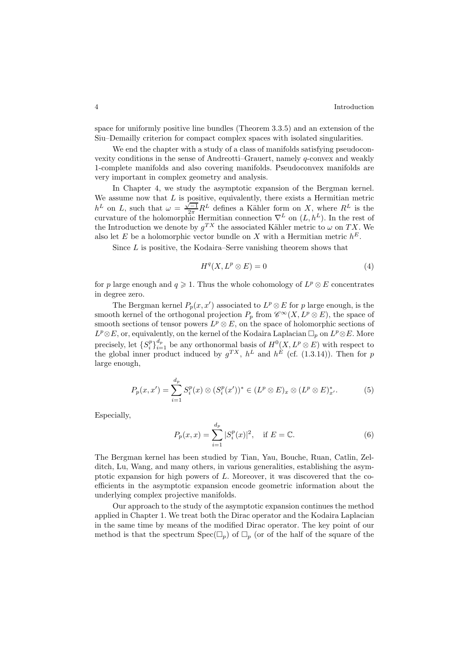space for uniformly positive line bundles (Theorem 3.3.5) and an extension of the Siu–Demailly criterion for compact complex spaces with isolated singularities.

We end the chapter with a study of a class of manifolds satisfying pseudoconvexity conditions in the sense of Andreotti–Grauert, namely q-convex and weakly 1-complete manifolds and also covering manifolds. Pseudoconvex manifolds are very important in complex geometry and analysis.

In Chapter 4, we study the asymptotic expansion of the Bergman kernel. We assume now that  $L$  is positive, equivalently, there exists a Hermitian metric We assume now that  $\Delta E$  is positive, equivalently, there exists a Hermitian metric  $h^L$  on  $L$ , such that  $\omega = \frac{\sqrt{-1}}{2\pi}R^L$  defines a Kähler form on X, where  $R^L$  is the curvature of the holomorphic Hermitian connection  $\nabla^L$  on  $(L, h^L)$ . In the rest of the Introduction we denote by  $g^{TX}$  the associated Kähler metric to  $\omega$  on TX. We also let E be a holomorphic vector bundle on X with a Hermitian metric  $h^E$ .

Since L is positive, the Kodaira–Serre vanishing theorem shows that

$$
H^q(X, L^p \otimes E) = 0 \tag{4}
$$

for p large enough and  $q \geq 1$ . Thus the whole cohomology of  $L^p \otimes E$  concentrates in degree zero.

The Bergman kernel  $P_p(x, x')$  associated to  $L^p \otimes E$  for p large enough, is the smooth kernel of the orthogonal projection  $P_p$  from  $\mathscr{C}^{\infty}(X, L^p \otimes E)$ , the space of smooth sections of tensor powers  $L^p \otimes E$ , on the space of holomorphic sections of  $L^p \otimes E$ , or, equivalently, on the kernel of the Kodaira Laplacian  $\Box_p$  on  $L^p \otimes E$ . More precisely, let  $\{S_i^p\}_{i=1}^{d_p}$  be any orthonormal basis of  $H^0(X, L^p \otimes E)$  with respect to the global inner product induced by  $g^{TX}$ ,  $h^{L}$  and  $h^{E}$  (cf. (1.3.14)). Then for p large enough,

$$
P_p(x, x') = \sum_{i=1}^{d_p} S_i^p(x) \otimes (S_i^p(x'))^* \in (L^p \otimes E)_x \otimes (L^p \otimes E)_{x'}^*.
$$
 (5)

Especially,

$$
P_p(x,x) = \sum_{i=1}^{d_p} |S_i^p(x)|^2, \quad \text{if } E = \mathbb{C}.
$$
 (6)

The Bergman kernel has been studied by Tian, Yau, Bouche, Ruan, Catlin, Zelditch, Lu, Wang, and many others, in various generalities, establishing the asymptotic expansion for high powers of L. Moreover, it was discovered that the coefficients in the asymptotic expansion encode geometric information about the underlying complex projective manifolds.

Our approach to the study of the asymptotic expansion continues the method applied in Chapter 1. We treat both the Dirac operator and the Kodaira Laplacian in the same time by means of the modified Dirac operator. The key point of our method is that the spectrum  $Spec(\Box_p)$  of  $\Box_p$  (or of the half of the square of the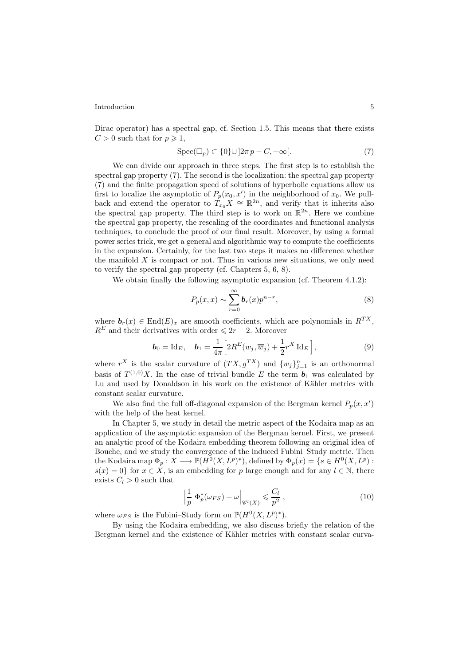Dirac operator) has a spectral gap, cf. Section 1.5. This means that there exists  $C > 0$  such that for  $p \geqslant 1$ ,

$$
Spec(\Box_p) \subset \{0\} \cup \left]2\pi p - C, +\infty\right[.
$$
 (7)

We can divide our approach in three steps. The first step is to establish the spectral gap property (7). The second is the localization: the spectral gap property (7) and the finite propagation speed of solutions of hyperbolic equations allow us first to localize the asymptotic of  $P_p(x_0, x')$  in the neighborhood of  $x_0$ . We pullback and extend the operator to  $T_{x_0}X \cong \mathbb{R}^{2n}$ , and verify that it inherits also the spectral gap property. The third step is to work on  $\mathbb{R}^{2n}$ . Here we combine the spectral gap property, the rescaling of the coordinates and functional analysis techniques, to conclude the proof of our final result. Moreover, by using a formal power series trick, we get a general and algorithmic way to compute the coefficients in the expansion. Certainly, for the last two steps it makes no difference whether the manifold  $X$  is compact or not. Thus in various new situations, we only need to verify the spectral gap property (cf. Chapters 5, 6, 8).

We obtain finally the following asymptotic expansion (cf. Theorem 4.1.2):

$$
P_p(x,x) \sim \sum_{r=0}^{\infty} b_r(x) p^{n-r},\tag{8}
$$

where  $\mathbf{b}_r(x) \in \text{End}(E)_x$  are smooth coefficients, which are polynomials in  $R^{TX}$ ,  $R<sup>E</sup>$  and their derivatives with order  $\leq 2r - 2$ . Moreover

$$
\boldsymbol{b}_0 = \mathrm{Id}_E, \quad \boldsymbol{b}_1 = \frac{1}{4\pi} \Big[ 2R^E(w_j, \overline{w}_j) + \frac{1}{2} r^X \mathrm{Id}_E \Big], \tag{9}
$$

where  $r^X$  is the scalar curvature of  $(TX, g^{TX})$  and  $\{w_j\}_{j=1}^n$  is an orthonormal basis of  $T^{(1,0)}X$ . In the case of trivial bundle E the term  $b_1$  was calculated by Lu and used by Donaldson in his work on the existence of Kähler metrics with constant scalar curvature.

We also find the full off-diagonal expansion of the Bergman kernel  $P_p(x, x')$ with the help of the heat kernel.

In Chapter 5, we study in detail the metric aspect of the Kodaira map as an application of the asymptotic expansion of the Bergman kernel. First, we present an analytic proof of the Kodaira embedding theorem following an original idea of Bouche, and we study the convergence of the induced Fubini–Study metric. Then the Kodaira map  $\Phi_p: X \longrightarrow \mathbb{P}(H^0(X, L^p)^*)$ , defined by  $\Phi_p(x) = \{s \in H^0(X, L^p) :$  $s(x)=0$  for  $x \in X$ , is an embedding for p large enough and for any  $l \in \mathbb{N}$ , there exists  $C_l > 0$  such that

$$
\left|\frac{1}{p}\ \Phi_p^*(\omega_{FS}) - \omega\right|_{\mathscr{C}^l(X)} \leqslant \frac{C_l}{p^2},\tag{10}
$$

where  $\omega_{FS}$  is the Fubini–Study form on  $\mathbb{P}(H^0(X, L^p)^*)$ .

By using the Kodaira embedding, we also discuss briefly the relation of the Bergman kernel and the existence of Kähler metrics with constant scalar curva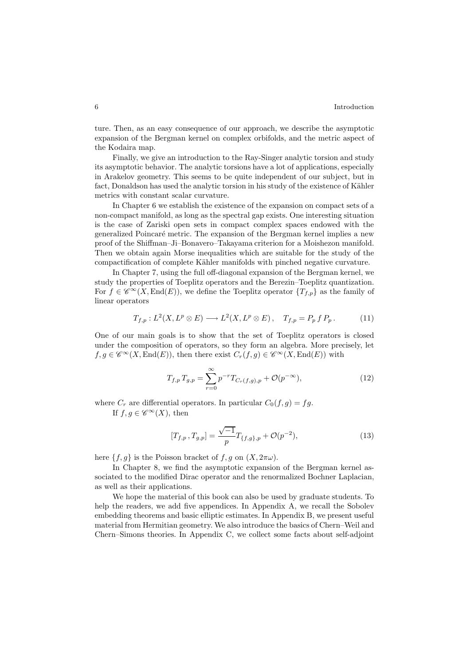ture. Then, as an easy consequence of our approach, we describe the asymptotic expansion of the Bergman kernel on complex orbifolds, and the metric aspect of the Kodaira map.

Finally, we give an introduction to the Ray-Singer analytic torsion and study its asymptotic behavior. The analytic torsions have a lot of applications, especially in Arakelov geometry. This seems to be quite independent of our subject, but in fact, Donaldson has used the analytic torsion in his study of the existence of Kähler metrics with constant scalar curvature.

In Chapter 6 we establish the existence of the expansion on compact sets of a non-compact manifold, as long as the spectral gap exists. One interesting situation is the case of Zariski open sets in compact complex spaces endowed with the generalized Poincaré metric. The expansion of the Bergman kernel implies a new proof of the Shiffman–Ji–Bonavero–Takayama criterion for a Moishezon manifold. Then we obtain again Morse inequalities which are suitable for the study of the compactification of complete Kähler manifolds with pinched negative curvature.

In Chapter 7, using the full off-diagonal expansion of the Bergman kernel, we study the properties of Toeplitz operators and the Berezin–Toeplitz quantization. For  $f \in \mathscr{C}^{\infty}(X, \text{End}(E))$ , we define the Toeplitz operator  $\{T_{f,p}\}$  as the family of linear operators

$$
T_{f,p}: L^2(X, L^p \otimes E) \longrightarrow L^2(X, L^p \otimes E), \quad T_{f,p} = P_p f P_p. \tag{11}
$$

One of our main goals is to show that the set of Toeplitz operators is closed under the composition of operators, so they form an algebra. More precisely, let  $f,g \in \mathscr{C}^{\infty}(X,\text{End}(E))$ , then there exist  $C_r(f,g) \in \mathscr{C}^{\infty}(X,\text{End}(E))$  with

$$
T_{f,p} T_{g,p} = \sum_{r=0}^{\infty} p^{-r} T_{C_r(f,g),p} + \mathcal{O}(p^{-\infty}),
$$
\n(12)

where  $C_r$  are differential operators. In particular  $C_0(f,g) = fg$ . If  $f, g \in \mathscr{C}^\infty(X)$ , then

$$
[T_{f,p}, T_{g,p}] = \frac{\sqrt{-1}}{p} T_{\{f,g\},p} + \mathcal{O}(p^{-2}),
$$
\n(13)

here  $\{f,g\}$  is the Poisson bracket of  $f,g$  on  $(X, 2\pi\omega)$ .

In Chapter 8, we find the asymptotic expansion of the Bergman kernel associated to the modified Dirac operator and the renormalized Bochner Laplacian, as well as their applications.

We hope the material of this book can also be used by graduate students. To help the readers, we add five appendices. In Appendix A, we recall the Sobolev embedding theorems and basic elliptic estimates. In Appendix B, we present useful material from Hermitian geometry. We also introduce the basics of Chern–Weil and Chern–Simons theories. In Appendix C, we collect some facts about self-adjoint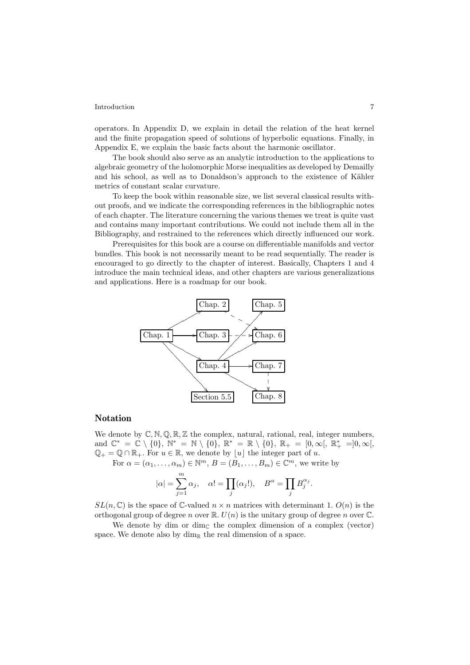operators. In Appendix D, we explain in detail the relation of the heat kernel and the finite propagation speed of solutions of hyperbolic equations. Finally, in Appendix E, we explain the basic facts about the harmonic oscillator.

The book should also serve as an analytic introduction to the applications to algebraic geometry of the holomorphic Morse inequalities as developed by Demailly and his school, as well as to Donaldson's approach to the existence of Kähler metrics of constant scalar curvature.

To keep the book within reasonable size, we list several classical results without proofs, and we indicate the corresponding references in the bibliographic notes of each chapter. The literature concerning the various themes we treat is quite vast and contains many important contributions. We could not include them all in the Bibliography, and restrained to the references which directly influenced our work.

Prerequisites for this book are a course on differentiable manifolds and vector bundles. This book is not necessarily meant to be read sequentially. The reader is encouraged to go directly to the chapter of interest. Basically, Chapters 1 and 4 introduce the main technical ideas, and other chapters are various generalizations and applications. Here is a roadmap for our book.



## **Notation**

We denote by  $\mathbb{C}, \mathbb{N}, \mathbb{Q}, \mathbb{R}, \mathbb{Z}$  the complex, natural, rational, real, integer numbers, and  $\mathbb{C}^* = \mathbb{C} \setminus \{0\}, \mathbb{N}^* = \mathbb{N} \setminus \{0\}, \mathbb{R}^* = \mathbb{R} \setminus \{0\}, \mathbb{R}_+ = [0, \infty[, \mathbb{R}_+^* =]0, \infty[,$  $\mathbb{Q}_+ = \mathbb{Q} \cap \mathbb{R}_+$ . For  $u \in \mathbb{R}$ , we denote by  $|u|$  the integer part of u.

For  $\alpha = (\alpha_1, \ldots, \alpha_m) \in \mathbb{N}^m$ ,  $B = (B_1, \ldots, B_m) \in \mathbb{C}^m$ , we write by

$$
|\alpha| = \sum_{j=1}^{m} \alpha_j
$$
,  $\alpha! = \prod_j (\alpha_j!).$ ,  $B^{\alpha} = \prod_j B_j^{\alpha_j}$ .

 $SL(n,\mathbb{C})$  is the space of C-valued  $n \times n$  matrices with determinant 1.  $O(n)$  is the orthogonal group of degree n over  $\mathbb{R}$ .  $U(n)$  is the unitary group of degree n over  $\mathbb{C}$ .

We denote by dim or dim<sub>C</sub> the complex dimension of a complex (vector) space. We denote also by  $\dim_{\mathbb{R}}$  the real dimension of a space.